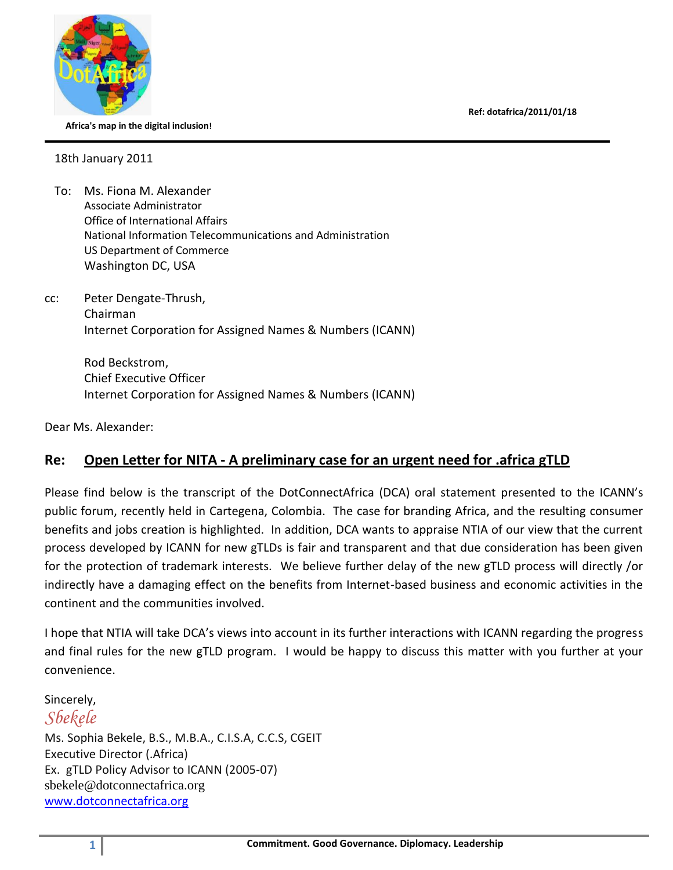**Ref: dotafrica/2011/01/18**



 **Africa's map in the digital inclusion!**

18th January 2011

- To: Ms. Fiona M. Alexander Associate Administrator Office of International Affairs National Information Telecommunications and Administration US Department of Commerce Washington DC, USA
- cc: Peter Dengate-Thrush, Chairman Internet Corporation for Assigned Names & Numbers (ICANN)

Rod Beckstrom, Chief Executive Officer Internet Corporation for Assigned Names & Numbers (ICANN)

Dear Ms. Alexander:

## **Re: Open Letter for NITA - A preliminary case for an urgent need for .africa gTLD**

Please find below is the transcript of the DotConnectAfrica (DCA) oral statement presented to the ICANN's public forum, recently held in Cartegena, Colombia. The case for branding Africa, and the resulting consumer benefits and jobs creation is highlighted. In addition, DCA wants to appraise NTIA of our view that the current process developed by ICANN for new gTLDs is fair and transparent and that due consideration has been given for the protection of trademark interests. We believe further delay of the new gTLD process will directly /or indirectly have a damaging effect on the benefits from Internet-based business and economic activities in the continent and the communities involved.

I hope that NTIA will take DCA's views into account in its further interactions with ICANN regarding the progress and final rules for the new gTLD program. I would be happy to discuss this matter with you further at your convenience.

Sincerely,

*Sbekele*

Ms. Sophia Bekele, B.S., M.B.A., C.I.S.A, C.C.S, CGEIT Executive Director (.Africa) Ex. gTLD Policy Advisor to ICANN (2005-07) sbekele@dotconnectafrica.org [www.dotconnectafrica.org](http://www.dotconnectafrica.org/)